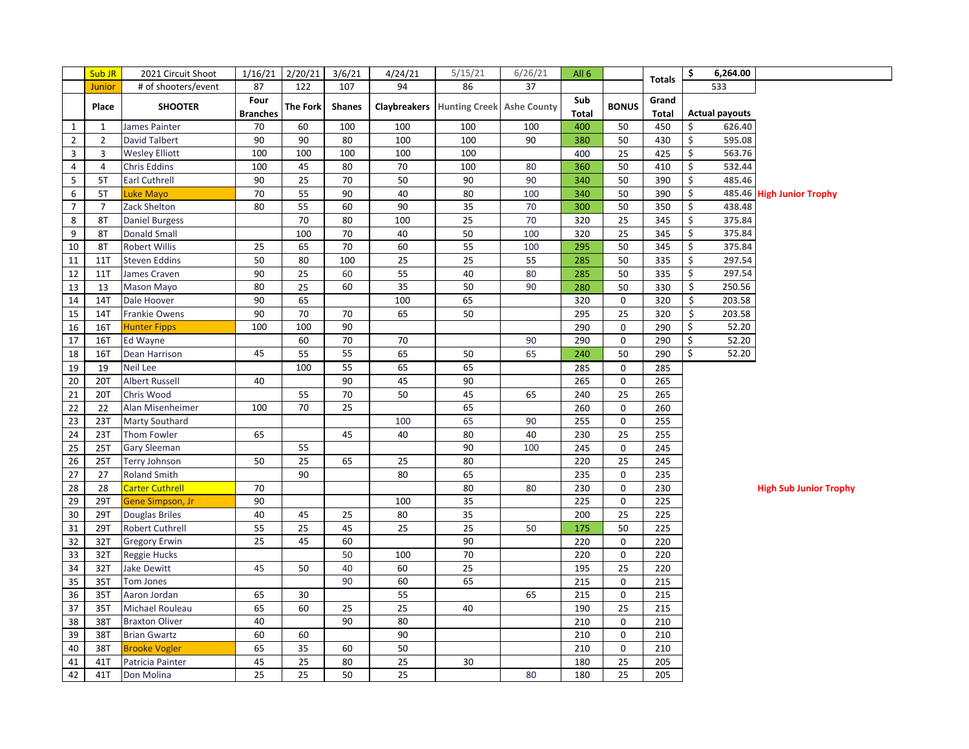|                | Sub JR         | 2021 Circuit Shoot     | 1/16/21         | 2/20/21         | 3/6/21          | 4/24/21         | 5/15/21                                       | 6/26/21 | All 6        |                 | <b>Totals</b> | \$ | 6,264.00              |                               |
|----------------|----------------|------------------------|-----------------|-----------------|-----------------|-----------------|-----------------------------------------------|---------|--------------|-----------------|---------------|----|-----------------------|-------------------------------|
|                | Junior         | # of shooters/event    | 87              | 122             | 107             | 94              | 86                                            | 37      |              |                 |               |    | 533                   |                               |
|                | Place          | <b>SHOOTER</b>         | Four            | <b>The Fork</b> | <b>Shanes</b>   |                 | <b>Claybreakers</b> Hunting Creek Ashe County |         | Sub          | <b>BONUS</b>    | Grand         |    |                       |                               |
|                |                |                        | <b>Branches</b> |                 |                 |                 |                                               |         | <b>Total</b> |                 | <b>Total</b>  |    | <b>Actual payouts</b> |                               |
| $\mathbf{1}$   | $\mathbf{1}$   | James Painter          | 70              | 60              | 100             | 100             | 100                                           | 100     | 400          | 50              | 450           | \$ | 626.40                |                               |
| $\overline{2}$ | $\overline{2}$ | <b>David Talbert</b>   | 90              | 90              | 80              | 100             | 100                                           | 90      | 380          | 50              | 430           | \$ | 595.08                |                               |
| 3              | 3              | <b>Wesley Elliott</b>  | 100             | 100             | 100             | 100             | 100                                           |         | 400          | 25              | 425           | Ś. | 563.76                |                               |
| $\overline{4}$ | 4              | <b>Chris Eddins</b>    | 100             | 45              | 80              | $70\,$          | 100                                           | 80      | 360          | 50              | 410           | \$ | 532.44                |                               |
| 5              | 5T             | <b>Earl Cuthrell</b>   | 90              | 25              | 70              | 50              | 90                                            | 90      | 340          | 50              | 390           | Ś. | 485.46                |                               |
| 6              | 5T             | Luke Mayo              | 70              | 55              | 90              | 40              | 80                                            | 100     | 340          | 50              | 390           | \$ | 485.46                | <b>High Junior Trophy</b>     |
| $\overline{7}$ | $\overline{7}$ | Zack Shelton           | 80              | 55              | 60              | 90              | 35                                            | 70      | 300          | 50              | 350           | \$ | 438.48                |                               |
| 8              | 8T             | <b>Daniel Burgess</b>  |                 | $\overline{70}$ | 80              | 100             | $\overline{25}$                               | 70      | 320          | 25              | 345           | \$ | 375.84                |                               |
| 9              | 8T             | <b>Donald Small</b>    |                 | 100             | 70              | 40              | 50                                            | 100     | 320          | $\overline{25}$ | 345           | \$ | 375.84                |                               |
| 10             | 8T             | Robert Willis          | 25              | 65              | 70              | 60              | 55                                            | 100     | 295          | 50              | 345           | \$ | 375.84                |                               |
| 11             | 11T            | <b>Steven Eddins</b>   | 50              | 80              | 100             | 25              | $\overline{25}$                               | 55      | 285          | 50              | 335           | \$ | 297.54                |                               |
| 12             | <b>11T</b>     | James Craven           | 90              | 25              | 60              | 55              | 40                                            | 80      | 285          | 50              | 335           | \$ | 297.54                |                               |
| 13             | 13             | Mason Mayo             | 80              | 25              | 60              | $\overline{35}$ | 50                                            | 90      | 280          | 50              | 330           | \$ | 250.56                |                               |
| 14             | 14T            | Dale Hoover            | 90              | 65              |                 | 100             | 65                                            |         | 320          | $\pmb{0}$       | 320           | \$ | 203.58                |                               |
| 15             | 14T            | Frankie Owens          | 90              | 70              | 70              | 65              | 50                                            |         | 295          | 25              | 320           | \$ | 203.58                |                               |
| 16             | 16T            | <b>Hunter Fipps</b>    | 100             | 100             | $\overline{90}$ |                 |                                               |         | 290          | $\mathbf 0$     | 290           | Ś  | 52.20                 |                               |
| 17             | 16T            | Ed Wayne               |                 | 60              | 70              | 70              |                                               | 90      | 290          | $\pmb{0}$       | 290           | \$ | 52.20                 |                               |
| 18             | 16T            | Dean Harrison          | 45              | 55              | 55              | 65              | 50                                            | 65      | 240          | 50              | 290           | \$ | 52.20                 |                               |
| 19             | 19             | Neil Lee               |                 | 100             | $\overline{55}$ | 65              | 65                                            |         | 285          | $\mathbf{0}$    | 285           |    |                       |                               |
| 20             | 20T            | <b>Albert Russell</b>  | 40              |                 | 90              | 45              | 90                                            |         | 265          | $\mathbf 0$     | 265           |    |                       |                               |
| 21             | 20T            | Chris Wood             |                 | 55              | 70              | 50              | 45                                            | 65      | 240          | 25              | 265           |    |                       |                               |
| 22             | 22             | Alan Misenheimer       | 100             | 70              | 25              |                 | 65                                            |         | 260          | $\mathbf 0$     | 260           |    |                       |                               |
| 23             | 23T            | Marty Southard         |                 |                 |                 | 100             | 65                                            | 90      | 255          | $\mathbf 0$     | 255           |    |                       |                               |
| 24             | 23T            | Thom Fowler            | 65              |                 | 45              | 40              | 80                                            | 40      | 230          | 25              | 255           |    |                       |                               |
| 25             | <b>25T</b>     | Gary Sleeman           |                 | 55              |                 |                 | 90                                            | 100     | 245          | $\mathbf 0$     | 245           |    |                       |                               |
| 26             | 25T            | <b>Terry Johnson</b>   | 50              | $\overline{25}$ | 65              | 25              | 80                                            |         | 220          | 25              | 245           |    |                       |                               |
| 27             | 27             | <b>Roland Smith</b>    |                 | 90              |                 | 80              | 65                                            |         | 235          | 0               | 235           |    |                       |                               |
| 28             | 28             | <b>Carter Cuthrell</b> | 70              |                 |                 |                 | 80                                            | 80      | 230          | $\Omega$        | 230           |    |                       | <b>High Sub Junior Trophy</b> |
| 29             | 29T            | Gene Simpson, Jr       | 90              |                 |                 | 100             | 35                                            |         | 225          | $\pmb{0}$       | 225           |    |                       |                               |
| 30             | 29T            | <b>Douglas Briles</b>  | 40              | 45              | 25              | 80              | 35                                            |         | 200          | 25              | 225           |    |                       |                               |
| 31             | 29T            | Robert Cuthrell        | 55              | 25              | 45              | 25              | $\overline{25}$                               | 50      | 175          | 50              | 225           |    |                       |                               |
| 32             | 32T            | <b>Gregory Erwin</b>   | 25              | 45              | 60              |                 | 90                                            |         | 220          | 0               | 220           |    |                       |                               |
| 33             | 32T            | Reggie Hucks           |                 |                 | 50              | 100             | 70                                            |         | 220          | 0               | 220           |    |                       |                               |
| 34             | 32T            | <b>Jake Dewitt</b>     | 45              | 50              | 40              | 60              | 25                                            |         | 195          | 25              | 220           |    |                       |                               |
| 35             | 35T            | Tom Jones              |                 |                 | 90              | 60              | 65                                            |         | 215          | $\mathbf 0$     | 215           |    |                       |                               |
| 36             | 35T            | Aaron Jordan           | 65              | 30              |                 | 55              |                                               | 65      | 215          | $\mathbf 0$     | 215           |    |                       |                               |
| 37             | 35T            | Michael Rouleau        | 65              | 60              | 25              | 25              | 40                                            |         | 190          | 25              | 215           |    |                       |                               |
| 38             | 38T            | <b>Braxton Oliver</b>  | 40              |                 | 90              | 80              |                                               |         | 210          | $\pmb{0}$       | 210           |    |                       |                               |
| 39             | 38T            | <b>Brian Gwartz</b>    | 60              | 60              |                 | $\overline{90}$ |                                               |         | 210          | $\mathbf 0$     | 210           |    |                       |                               |
| 40             | 38T            | <b>Brooke Vogler</b>   | 65              | 35              | 60              | 50              |                                               |         | 210          | 0               | 210           |    |                       |                               |
| 41             | 41T            | Patricia Painter       | 45              | 25              | 80              | 25              | 30                                            |         | 180          | 25              | 205           |    |                       |                               |
| 42             | 41T            | Don Molina             | 25              | 25              | 50              | 25              |                                               | 80      | 180          | 25              | 205           |    |                       |                               |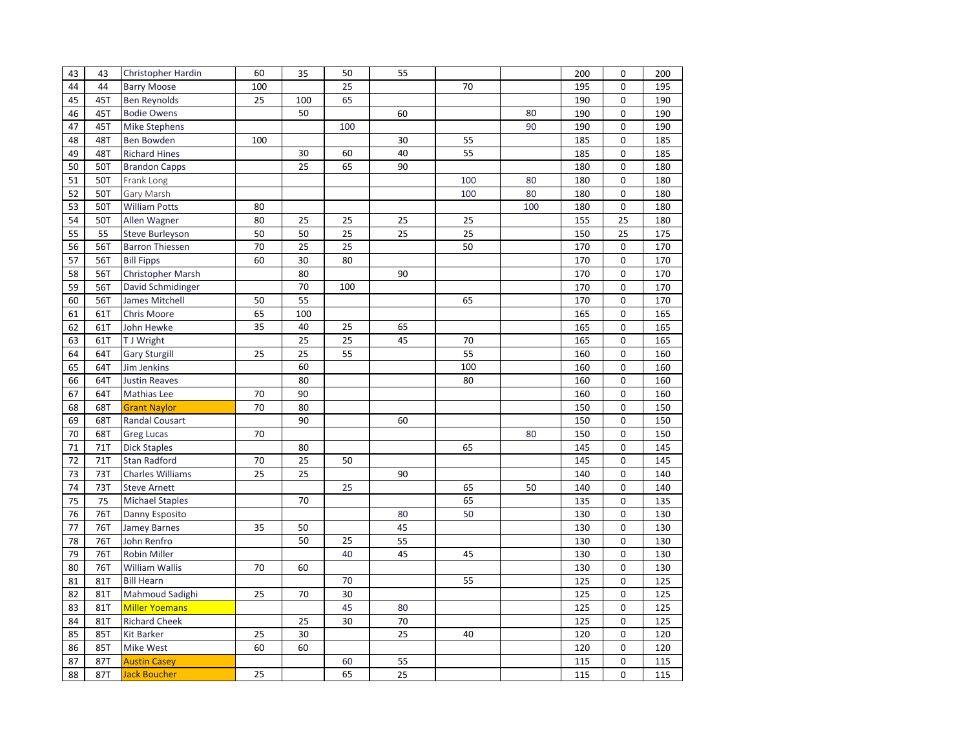| 43 | 43  | Christopher Hardin      | 60  | 35  | 50  | 55 |     |     | 200 | 0           | 200 |
|----|-----|-------------------------|-----|-----|-----|----|-----|-----|-----|-------------|-----|
| 44 | 44  | <b>Barry Moose</b>      | 100 |     | 25  |    | 70  |     | 195 | 0           | 195 |
| 45 | 45T | <b>Ben Reynolds</b>     | 25  | 100 | 65  |    |     |     | 190 | $\mathbf 0$ | 190 |
| 46 | 45T | <b>Bodie Owens</b>      |     | 50  |     | 60 |     | 80  | 190 | $\mathbf 0$ | 190 |
| 47 | 45T | <b>Mike Stephens</b>    |     |     | 100 |    |     | 90  | 190 | 0           | 190 |
| 48 | 48T | Ben Bowden              | 100 |     |     | 30 | 55  |     | 185 | 0           | 185 |
| 49 | 48T | <b>Richard Hines</b>    |     | 30  | 60  | 40 | 55  |     | 185 | 0           | 185 |
| 50 | 50T | <b>Brandon Capps</b>    |     | 25  | 65  | 90 |     |     | 180 | $\mathbf 0$ | 180 |
| 51 | 50T | Frank Long              |     |     |     |    | 100 | 80  | 180 | 0           | 180 |
| 52 | 50T | Gary Marsh              |     |     |     |    | 100 | 80  | 180 | 0           | 180 |
| 53 | 50T | <b>William Potts</b>    | 80  |     |     |    |     | 100 | 180 | 0           | 180 |
| 54 | 50T | Allen Wagner            | 80  | 25  | 25  | 25 | 25  |     | 155 | 25          | 180 |
| 55 | 55  | <b>Steve Burleyson</b>  | 50  | 50  | 25  | 25 | 25  |     | 150 | 25          | 175 |
| 56 | 56T | <b>Barron Thiessen</b>  | 70  | 25  | 25  |    | 50  |     | 170 | $\mathbf 0$ | 170 |
| 57 | 56T | <b>Bill Fipps</b>       | 60  | 30  | 80  |    |     |     | 170 | 0           | 170 |
| 58 | 56T | Christopher Marsh       |     | 80  |     | 90 |     |     | 170 | $\mathbf 0$ | 170 |
| 59 | 56T | David Schmidinger       |     | 70  | 100 |    |     |     | 170 | $\mathbf 0$ | 170 |
| 60 | 56T | James Mitchell          | 50  | 55  |     |    | 65  |     | 170 | 0           | 170 |
| 61 | 61T | Chris Moore             | 65  | 100 |     |    |     |     | 165 | 0           | 165 |
| 62 | 61T | John Hewke              | 35  | 40  | 25  | 65 |     |     | 165 | $\mathbf 0$ | 165 |
| 63 | 61T | T J Wright              |     | 25  | 25  | 45 | 70  |     | 165 | $\mathbf 0$ | 165 |
| 64 | 64T | <b>Gary Sturgill</b>    | 25  | 25  | 55  |    | 55  |     | 160 | 0           | 160 |
| 65 | 64T | Jim Jenkins             |     | 60  |     |    | 100 |     | 160 | 0           | 160 |
| 66 | 64T | <b>Justin Reaves</b>    |     | 80  |     |    | 80  |     | 160 | 0           | 160 |
| 67 | 64T | Mathias Lee             | 70  | 90  |     |    |     |     | 160 | $\mathbf 0$ | 160 |
| 68 | 68T | <b>Grant Naylor</b>     | 70  | 80  |     |    |     |     | 150 | $\mathbf 0$ | 150 |
| 69 | 68T |                         |     | 90  |     | 60 |     |     | 150 | 0           | 150 |
|    |     | Randal Cousart          |     |     |     |    |     |     |     | 0           |     |
| 70 | 68T | <b>Greg Lucas</b>       | 70  |     |     |    |     | 80  | 150 | $\mathbf 0$ | 150 |
| 71 | 71T | <b>Dick Staples</b>     |     | 80  |     |    | 65  |     | 145 |             | 145 |
| 72 | 71T | <b>Stan Radford</b>     | 70  | 25  | 50  |    |     |     | 145 | 0<br>0      | 145 |
| 73 | 73T | <b>Charles Williams</b> | 25  | 25  |     | 90 |     |     | 140 |             | 140 |
| 74 | 73T | <b>Steve Arnett</b>     |     |     | 25  |    | 65  | 50  | 140 | 0           | 140 |
| 75 | 75  | <b>Michael Staples</b>  |     | 70  |     |    | 65  |     | 135 | 0           | 135 |
| 76 | 76T | Danny Esposito          |     |     |     | 80 | 50  |     | 130 | 0           | 130 |
| 77 | 76T | <b>Jamey Barnes</b>     | 35  | 50  |     | 45 |     |     | 130 | $\mathbf 0$ | 130 |
| 78 | 76T | John Renfro             |     | 50  | 25  | 55 |     |     | 130 | $\mathbf 0$ | 130 |
| 79 | 76T | Robin Miller            |     |     | 40  | 45 | 45  |     | 130 | 0           | 130 |
| 80 | 76T | <b>William Wallis</b>   | 70  | 60  |     |    |     |     | 130 | 0           | 130 |
| 81 | 81T | <b>Bill Hearn</b>       |     |     | 70  |    | 55  |     | 125 | 0           | 125 |
| 82 | 81T | Mahmoud Sadighi         | 25  | 70  | 30  |    |     |     | 125 | $\mathbf 0$ | 125 |
| 83 | 81T | <b>Miller Yoemans</b>   |     |     | 45  | 80 |     |     | 125 | $\mathbf 0$ | 125 |
| 84 | 81T | <b>Richard Cheek</b>    |     | 25  | 30  | 70 |     |     | 125 | 0           | 125 |
| 85 | 85T | <b>Kit Barker</b>       | 25  | 30  |     | 25 | 40  |     | 120 | 0           | 120 |
| 86 | 85T | Mike West               | 60  | 60  |     |    |     |     | 120 | 0           | 120 |
| 87 | 87T | <b>Austin Casey</b>     |     |     | 60  | 55 |     |     | 115 | $\mathbf 0$ | 115 |
| 88 | 87T | <b>Jack Boucher</b>     | 25  |     | 65  | 25 |     |     | 115 | $\Omega$    | 115 |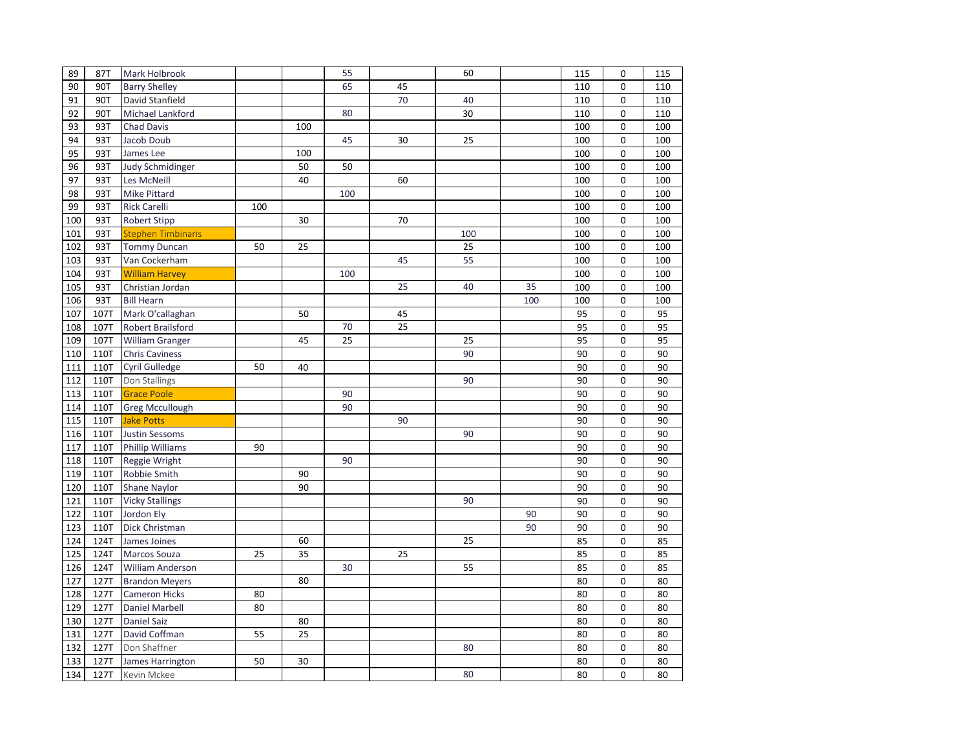| 89  | 87T         | Mark Holbrook             |     |     | 55  |    | 60  |     | 115 | $\pmb{0}$   | 115 |
|-----|-------------|---------------------------|-----|-----|-----|----|-----|-----|-----|-------------|-----|
| 90  | 90T         | <b>Barry Shelley</b>      |     |     | 65  | 45 |     |     | 110 | 0           | 110 |
| 91  | 90T         | David Stanfield           |     |     |     | 70 | 40  |     | 110 | 0           | 110 |
| 92  | 90T         | Michael Lankford          |     |     | 80  |    | 30  |     | 110 | $\mathbf 0$ | 110 |
| 93  | 93T         | <b>Chad Davis</b>         |     | 100 |     |    |     |     | 100 | $\mathbf 0$ | 100 |
| 94  | 93T         | Jacob Doub                |     |     | 45  | 30 | 25  |     | 100 | $\mathbf 0$ | 100 |
| 95  | 93T         | James Lee                 |     | 100 |     |    |     |     | 100 | 0           | 100 |
| 96  | 93T         | <b>Judy Schmidinger</b>   |     | 50  | 50  |    |     |     | 100 | $\mathbf 0$ | 100 |
| 97  | 93T         | Les McNeill               |     | 40  |     | 60 |     |     | 100 | $\mathbf 0$ | 100 |
| 98  | 93T         | Mike Pittard              |     |     | 100 |    |     |     | 100 | 0           | 100 |
| 99  | 93T         | <b>Rick Carelli</b>       | 100 |     |     |    |     |     | 100 | $\mathbf 0$ | 100 |
| 100 | 93T         | <b>Robert Stipp</b>       |     | 30  |     | 70 |     |     | 100 | 0           | 100 |
| 101 | 93T         | <b>Stephen Timbinaris</b> |     |     |     |    | 100 |     | 100 | $\mathbf 0$ | 100 |
| 102 | 93T         | <b>Tommy Duncan</b>       | 50  | 25  |     |    | 25  |     | 100 | 0           | 100 |
| 103 | 93T         | Van Cockerham             |     |     |     | 45 | 55  |     | 100 | $\mathbf 0$ | 100 |
| 104 | 93T         | <b>William Harvey</b>     |     |     | 100 |    |     |     | 100 | $\mathbf 0$ | 100 |
| 105 | 93T         | Christian Jordan          |     |     |     | 25 | 40  | 35  | 100 | $\mathbf 0$ | 100 |
| 106 | 93T         | <b>Bill Hearn</b>         |     |     |     |    |     | 100 | 100 | 0           | 100 |
| 107 | 107T        | Mark O'callaghan          |     | 50  |     | 45 |     |     | 95  | $\mathbf 0$ | 95  |
| 108 | 107T        | Robert Brailsford         |     |     | 70  | 25 |     |     | 95  | 0           | 95  |
| 109 | 107T        | <b>William Granger</b>    |     | 45  | 25  |    | 25  |     | 95  | $\mathbf 0$ | 95  |
| 110 | 110T        | <b>Chris Caviness</b>     |     |     |     |    | 90  |     | 90  | 0           | 90  |
| 111 | 110T        | Cyril Gulledge            | 50  | 40  |     |    |     |     | 90  | $\mathbf 0$ | 90  |
| 112 | 110T        | Don Stallings             |     |     |     |    | 90  |     | 90  | 0           | 90  |
| 113 | 110T        | <b>Grace Poole</b>        |     |     | 90  |    |     |     | 90  | 0           | 90  |
| 114 | 110T        | <b>Greg Mccullough</b>    |     |     | 90  |    |     |     | 90  | 0           | 90  |
| 115 | 110T        | <b>Jake Potts</b>         |     |     |     | 90 |     |     | 90  | $\mathbf 0$ | 90  |
| 116 | 110T        | <b>Justin Sessoms</b>     |     |     |     |    | 90  |     | 90  | $\mathbf 0$ | 90  |
| 117 | 110T        | <b>Phillip Williams</b>   | 90  |     |     |    |     |     | 90  | 0           | 90  |
| 118 | 110T        | Reggie Wright             |     |     | 90  |    |     |     | 90  | $\mathbf 0$ | 90  |
| 119 | 110T        | Robbie Smith              |     | 90  |     |    |     |     | 90  | 0           | 90  |
| 120 | <b>110T</b> | Shane Naylor              |     | 90  |     |    |     |     | 90  | $\mathbf 0$ | 90  |
| 121 | 110T        | <b>Vicky Stallings</b>    |     |     |     |    | 90  |     | 90  | $\mathbf 0$ | 90  |
| 122 | 110T        | Jordon Ely                |     |     |     |    |     | 90  | 90  | $\mathbf 0$ | 90  |
| 123 | 110T        | Dick Christman            |     |     |     |    |     | 90  | 90  | $\mathbf 0$ | 90  |
| 124 | 124T        | James Joines              |     | 60  |     |    | 25  |     | 85  | 0           | 85  |
| 125 | 124T        | Marcos Souza              | 25  | 35  |     | 25 |     |     | 85  | 0           | 85  |
| 126 | 124T        | William Anderson          |     |     | 30  |    | 55  |     | 85  | 0           | 85  |
| 127 | 127T        | <b>Brandon Meyers</b>     |     | 80  |     |    |     |     | 80  | 0           | 80  |
| 128 | 127T        | <b>Cameron Hicks</b>      | 80  |     |     |    |     |     | 80  | $\mathbf 0$ | 80  |
| 129 | 127T        | <b>Daniel Marbell</b>     | 80  |     |     |    |     |     | 80  | $\mathbf 0$ | 80  |
| 130 | 127T        | <b>Daniel Saiz</b>        |     | 80  |     |    |     |     | 80  | $\mathbf 0$ | 80  |
| 131 | 127T        | David Coffman             | 55  | 25  |     |    |     |     | 80  | 0           | 80  |
| 132 | 127T        | Don Shaffner              |     |     |     |    | 80  |     | 80  | $\mathbf 0$ | 80  |
| 133 | 127T        | James Harrington          | 50  | 30  |     |    |     |     | 80  | $\mathbf 0$ | 80  |
| 134 | 127T        | Kevin Mckee               |     |     |     |    | 80  |     | 80  | $\Omega$    | 80  |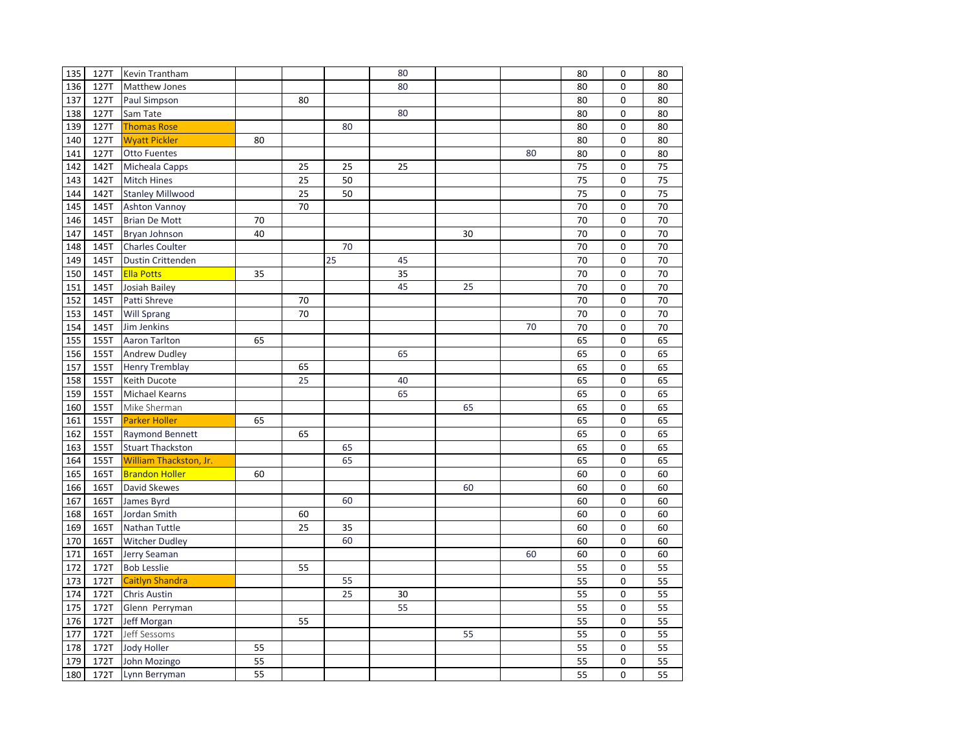| 135 | 127T | Kevin Trantham          |    |    |    | 80 |    |    | 80 | 0           | 80 |
|-----|------|-------------------------|----|----|----|----|----|----|----|-------------|----|
| 136 | 127T | Matthew Jones           |    |    |    | 80 |    |    | 80 | 0           | 80 |
| 137 | 127T | Paul Simpson            |    | 80 |    |    |    |    | 80 | 0           | 80 |
| 138 | 127T | Sam Tate                |    |    |    | 80 |    |    | 80 | $\Omega$    | 80 |
| 139 | 127T | <b>Thomas Rose</b>      |    |    | 80 |    |    |    | 80 | 0           | 80 |
| 140 | 127T | <b>Wyatt Pickler</b>    | 80 |    |    |    |    |    | 80 | 0           | 80 |
| 141 | 127T | <b>Otto Fuentes</b>     |    |    |    |    |    | 80 | 80 | 0           | 80 |
| 142 | 142T | Micheala Capps          |    | 25 | 25 | 25 |    |    | 75 | $\mathbf 0$ | 75 |
| 143 | 142T | <b>Mitch Hines</b>      |    | 25 | 50 |    |    |    | 75 | $\mathbf 0$ | 75 |
| 144 | 142T | <b>Stanley Millwood</b> |    | 25 | 50 |    |    |    | 75 | 0           | 75 |
| 145 | 145T | <b>Ashton Vannoy</b>    |    | 70 |    |    |    |    | 70 | 0           | 70 |
| 146 | 145T | <b>Brian De Mott</b>    | 70 |    |    |    |    |    | 70 | $\mathbf 0$ | 70 |
| 147 | 145T | Bryan Johnson           | 40 |    |    |    | 30 |    | 70 | $\mathbf 0$ | 70 |
| 148 | 145T | Charles Coulter         |    |    | 70 |    |    |    | 70 | 0           | 70 |
| 149 | 145T | Dustin Crittenden       |    |    | 25 | 45 |    |    | 70 | 0           | 70 |
| 150 | 145T | <b>Ella Potts</b>       | 35 |    |    | 35 |    |    | 70 | 0           | 70 |
| 151 | 145T | Josiah Bailey           |    |    |    | 45 | 25 |    | 70 | $\mathbf 0$ | 70 |
| 152 | 145T | Patti Shreve            |    | 70 |    |    |    |    | 70 | 0           | 70 |
| 153 | 145T | <b>Will Sprang</b>      |    | 70 |    |    |    |    | 70 | 0           | 70 |
| 154 | 145T | Jim Jenkins             |    |    |    |    |    | 70 | 70 | 0           | 70 |
| 155 | 155T | Aaron Tarlton           | 65 |    |    |    |    |    | 65 | $\mathbf 0$ | 65 |
| 156 | 155T | <b>Andrew Dudley</b>    |    |    |    | 65 |    |    | 65 | 0           | 65 |
| 157 | 155T | <b>Henry Tremblay</b>   |    | 65 |    |    |    |    | 65 | 0           | 65 |
| 158 | 155T | Keith Ducote            |    | 25 |    | 40 |    |    | 65 | 0           | 65 |
| 159 | 155T | <b>Michael Kearns</b>   |    |    |    | 65 |    |    | 65 | 0           | 65 |
| 160 | 155T | Mike Sherman            |    |    |    |    | 65 |    | 65 | 0           | 65 |
| 161 | 155T | <b>Parker Holler</b>    | 65 |    |    |    |    |    | 65 | 0           | 65 |
| 162 | 155T | <b>Raymond Bennett</b>  |    | 65 |    |    |    |    | 65 | $\mathbf 0$ | 65 |
| 163 | 155T | <b>Stuart Thackston</b> |    |    | 65 |    |    |    | 65 | $\mathbf 0$ | 65 |
| 164 | 155T | William Thackston, Jr.  |    |    | 65 |    |    |    | 65 | $\mathbf 0$ | 65 |
| 165 | 165T | <b>Brandon Holler</b>   | 60 |    |    |    |    |    | 60 | 0           | 60 |
| 166 | 165T | David Skewes            |    |    |    |    | 60 |    | 60 | $\mathbf 0$ | 60 |
| 167 | 165T | James Byrd              |    |    | 60 |    |    |    | 60 | 0           | 60 |
| 168 | 165T | Jordan Smith            |    | 60 |    |    |    |    | 60 | $\mathbf 0$ | 60 |
| 169 | 165T | Nathan Tuttle           |    | 25 | 35 |    |    |    | 60 | 0           | 60 |
| 170 | 165T | <b>Witcher Dudley</b>   |    |    | 60 |    |    |    | 60 | 0           | 60 |
| 171 | 165T | Jerry Seaman            |    |    |    |    |    | 60 | 60 | $\mathbf 0$ | 60 |
| 172 | 172T | <b>Bob Lesslie</b>      |    | 55 |    |    |    |    | 55 | $\Omega$    | 55 |
| 173 | 172T | Caitlyn Shandra         |    |    | 55 |    |    |    | 55 | 0           | 55 |
| 174 | 172T | <b>Chris Austin</b>     |    |    | 25 | 30 |    |    | 55 | $\mathbf 0$ | 55 |
| 175 | 172T | Glenn Perryman          |    |    |    | 55 |    |    | 55 | $\mathbf 0$ | 55 |
| 176 | 172T | Jeff Morgan             |    | 55 |    |    |    |    | 55 | $\Omega$    | 55 |
| 177 | 172T | Jeff Sessoms            |    |    |    |    | 55 |    | 55 | 0           | 55 |
| 178 | 172T | Jody Holler             | 55 |    |    |    |    |    | 55 | 0           | 55 |
| 179 | 172T | John Mozingo            | 55 |    |    |    |    |    | 55 | 0           | 55 |
| 180 | 172T | Lynn Berryman           | 55 |    |    |    |    |    | 55 | $\Omega$    | 55 |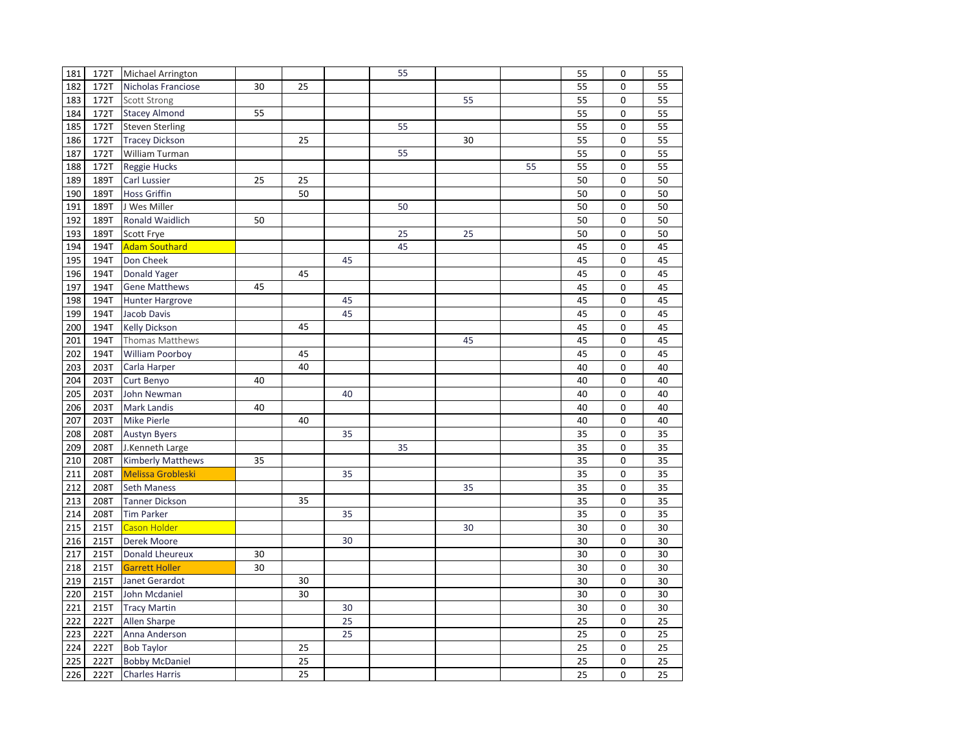| 181              | 172T | Michael Arrington        |    |    |    | 55 |    |    | 55 | 0           | 55 |
|------------------|------|--------------------------|----|----|----|----|----|----|----|-------------|----|
| 182              | 172T | Nicholas Franciose       | 30 | 25 |    |    |    |    | 55 | 0           | 55 |
| 183              | 172T | Scott Strong             |    |    |    |    | 55 |    | 55 | 0           | 55 |
| 184              | 172T | <b>Stacey Almond</b>     | 55 |    |    |    |    |    | 55 | $\mathbf 0$ | 55 |
| 185              | 172T | <b>Steven Sterling</b>   |    |    |    | 55 |    |    | 55 | $\mathbf 0$ | 55 |
| 186              | 172T | <b>Tracey Dickson</b>    |    | 25 |    |    | 30 |    | 55 | $\mathbf 0$ | 55 |
| 187              | 172T | William Turman           |    |    |    | 55 |    |    | 55 | 0           | 55 |
| 188              | 172T | Reggie Hucks             |    |    |    |    |    | 55 | 55 | $\mathbf 0$ | 55 |
| 189              | 189T | Carl Lussier             | 25 | 25 |    |    |    |    | 50 | $\mathbf 0$ | 50 |
| 190              | 189T | <b>Hoss Griffin</b>      |    | 50 |    |    |    |    | 50 | 0           | 50 |
| 191              | 189T | J Wes Miller             |    |    |    | 50 |    |    | 50 | $\mathbf 0$ | 50 |
| 192              | 189T | <b>Ronald Waidlich</b>   | 50 |    |    |    |    |    | 50 | $\Omega$    | 50 |
| 193              | 189T | Scott Frye               |    |    |    | 25 | 25 |    | 50 | $\mathbf 0$ | 50 |
| 194              | 194T | <b>Adam Southard</b>     |    |    |    | 45 |    |    | 45 | 0           | 45 |
| 195              | 194T | Don Cheek                |    |    | 45 |    |    |    | 45 | 0           | 45 |
| 196              | 194T | Donald Yager             |    | 45 |    |    |    |    | 45 | $\mathbf 0$ | 45 |
| 197              | 194T | <b>Gene Matthews</b>     | 45 |    |    |    |    |    | 45 | $\mathbf 0$ | 45 |
| 198              | 194T | <b>Hunter Hargrove</b>   |    |    | 45 |    |    |    | 45 | 0           | 45 |
| 199              | 194T | Jacob Davis              |    |    | 45 |    |    |    | 45 | 0           | 45 |
| 200              | 194T | <b>Kelly Dickson</b>     |    | 45 |    |    |    |    | 45 | $\mathbf 0$ | 45 |
| 201              | 194T | Thomas Matthews          |    |    |    |    | 45 |    | 45 | $\mathbf 0$ | 45 |
| 202              | 194T | <b>William Poorboy</b>   |    | 45 |    |    |    |    | 45 | $\mathbf 0$ | 45 |
| 203              | 203T | Carla Harper             |    | 40 |    |    |    |    | 40 | 0           | 40 |
| 204              | 203T | Curt Benyo               | 40 |    |    |    |    |    | 40 | 0           | 40 |
| 205              | 203T | John Newman              |    |    | 40 |    |    |    | 40 | $\mathbf 0$ | 40 |
| 206              | 203T | Mark Landis              | 40 |    |    |    |    |    | 40 | $\mathbf 0$ | 40 |
| 207              | 203T | Mike Pierle              |    | 40 |    |    |    |    | 40 | $\mathbf 0$ | 40 |
| 208              | 208T | <b>Austyn Byers</b>      |    |    | 35 |    |    |    | 35 | $\mathbf 0$ | 35 |
| 209              | 208T | J.Kenneth Large          |    |    |    | 35 |    |    | 35 | $\Omega$    | 35 |
| 210              | 208T | Kimberly Matthews        | 35 |    |    |    |    |    | 35 | 0           | 35 |
| 211              | 208T | <b>Melissa Grobleski</b> |    |    | 35 |    |    |    | 35 | 0           | 35 |
| 212              | 208T | <b>Seth Maness</b>       |    |    |    |    | 35 |    | 35 | 0           | 35 |
| 213              | 208T | <b>Tanner Dickson</b>    |    | 35 |    |    |    |    | 35 | $\mathbf 0$ | 35 |
| 214              | 208T | <b>Tim Parker</b>        |    |    | 35 |    |    |    | 35 | 0           | 35 |
| $\overline{215}$ | 215T | Cason Holder             |    |    |    |    | 30 |    | 30 | 0           | 30 |
| 216              | 215T | Derek Moore              |    |    | 30 |    |    |    | 30 | $\mathbf 0$ | 30 |
| 217              | 215T | Donald Lheureux          | 30 |    |    |    |    |    | 30 | $\mathbf 0$ | 30 |
| 218              | 215T | <b>Garrett Holler</b>    | 30 |    |    |    |    |    | 30 | $\mathbf 0$ | 30 |
| 219              | 215T | Janet Gerardot           |    | 30 |    |    |    |    | 30 | $\mathbf 0$ | 30 |
| 220              | 215T | John Mcdaniel            |    | 30 |    |    |    |    | 30 | 0           | 30 |
| 221              | 215T | <b>Tracy Martin</b>      |    |    | 30 |    |    |    | 30 | $\mathbf 0$ | 30 |
| 222              | 222T | Allen Sharpe             |    |    | 25 |    |    |    | 25 | $\mathbf 0$ | 25 |
| 223              | 222T | Anna Anderson            |    |    | 25 |    |    |    | 25 | $\pmb{0}$   | 25 |
| 224              | 222T | <b>Bob Taylor</b>        |    | 25 |    |    |    |    | 25 | $\mathbf 0$ | 25 |
| 225              | 222T | <b>Bobby McDaniel</b>    |    | 25 |    |    |    |    | 25 | $\mathbf 0$ | 25 |
| 226              | 222T | <b>Charles Harris</b>    |    | 25 |    |    |    |    | 25 | $\Omega$    | 25 |